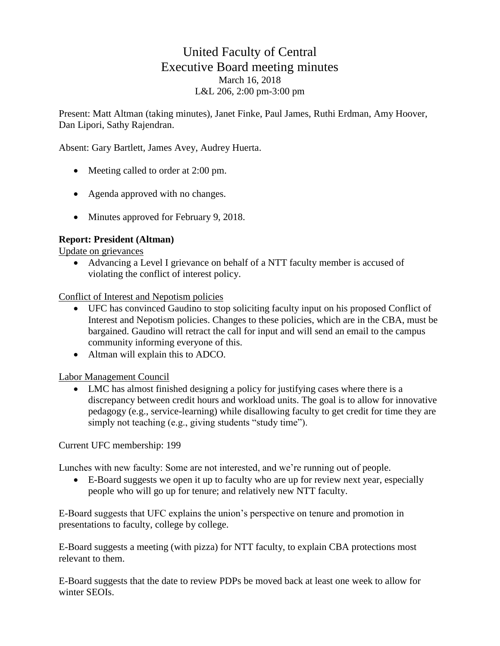## United Faculty of Central Executive Board meeting minutes March 16, 2018 L&L 206, 2:00 pm-3:00 pm

Present: Matt Altman (taking minutes), Janet Finke, Paul James, Ruthi Erdman, Amy Hoover, Dan Lipori, Sathy Rajendran.

Absent: Gary Bartlett, James Avey, Audrey Huerta.

- Meeting called to order at 2:00 pm.
- Agenda approved with no changes.
- Minutes approved for February 9, 2018.

## **Report: President (Altman)**

Update on grievances

• Advancing a Level I grievance on behalf of a NTT faculty member is accused of violating the conflict of interest policy.

Conflict of Interest and Nepotism policies

- UFC has convinced Gaudino to stop soliciting faculty input on his proposed Conflict of Interest and Nepotism policies. Changes to these policies, which are in the CBA, must be bargained. Gaudino will retract the call for input and will send an email to the campus community informing everyone of this.
- Altman will explain this to ADCO.

Labor Management Council

• LMC has almost finished designing a policy for justifying cases where there is a discrepancy between credit hours and workload units. The goal is to allow for innovative pedagogy (e.g., service-learning) while disallowing faculty to get credit for time they are simply not teaching (e.g., giving students "study time").

Current UFC membership: 199

Lunches with new faculty: Some are not interested, and we're running out of people.

• E-Board suggests we open it up to faculty who are up for review next year, especially people who will go up for tenure; and relatively new NTT faculty.

E-Board suggests that UFC explains the union's perspective on tenure and promotion in presentations to faculty, college by college.

E-Board suggests a meeting (with pizza) for NTT faculty, to explain CBA protections most relevant to them.

E-Board suggests that the date to review PDPs be moved back at least one week to allow for winter SEOIs.